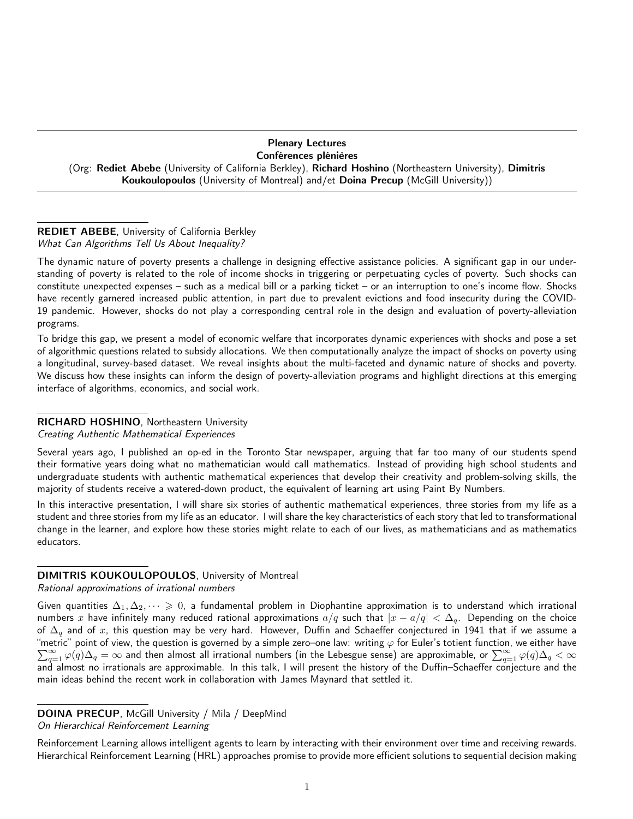#### Plenary Lectures Conférences plénières

(Org: Rediet Abebe (University of California Berkley), Richard Hoshino (Northeastern University), Dimitris Koukoulopoulos (University of Montreal) and/et Doina Precup (McGill University))

### REDIET ABEBE, University of California Berkley What Can Algorithms Tell Us About Inequality?

The dynamic nature of poverty presents a challenge in designing effective assistance policies. A significant gap in our understanding of poverty is related to the role of income shocks in triggering or perpetuating cycles of poverty. Such shocks can constitute unexpected expenses – such as a medical bill or a parking ticket – or an interruption to one's income flow. Shocks have recently garnered increased public attention, in part due to prevalent evictions and food insecurity during the COVID-19 pandemic. However, shocks do not play a corresponding central role in the design and evaluation of poverty-alleviation programs.

To bridge this gap, we present a model of economic welfare that incorporates dynamic experiences with shocks and pose a set of algorithmic questions related to subsidy allocations. We then computationally analyze the impact of shocks on poverty using a longitudinal, survey-based dataset. We reveal insights about the multi-faceted and dynamic nature of shocks and poverty. We discuss how these insights can inform the design of poverty-alleviation programs and highlight directions at this emerging interface of algorithms, economics, and social work.

# RICHARD HOSHINO, Northeastern University

#### Creating Authentic Mathematical Experiences

Several years ago, I published an op-ed in the Toronto Star newspaper, arguing that far too many of our students spend their formative years doing what no mathematician would call mathematics. Instead of providing high school students and undergraduate students with authentic mathematical experiences that develop their creativity and problem-solving skills, the majority of students receive a watered-down product, the equivalent of learning art using Paint By Numbers.

In this interactive presentation, I will share six stories of authentic mathematical experiences, three stories from my life as a student and three stories from my life as an educator. I will share the key characteristics of each story that led to transformational change in the learner, and explore how these stories might relate to each of our lives, as mathematicians and as mathematics educators.

# DIMITRIS KOUKOULOPOULOS, University of Montreal

Rational approximations of irrational numbers

Given quantities  $\Delta_1, \Delta_2, \dots \geq 0$ , a fundamental problem in Diophantine approximation is to understand which irrational numbers x have infinitely many reduced rational approximations  $a/q$  such that  $|x - a/q| < \Delta_q$ . Depending on the choice of  $\Delta_q$  and of x, this question may be very hard. However, Duffin and Schaeffer conjectured in 1941 that if we assume a "metric" point of view, the question is governed by a simple zero–one law: writing  $\varphi$  for Euler's totient function, we either have  $\sum_{q=1}^\infty\varphi(q)\Delta_q=\infty$  and then almost all irrational numbers (in the Lebesgue sense) are approximable, or  $\sum_{q=1}^\infty\varphi(q)\Delta_q<\infty$ and almost no irrationals are approximable. In this talk, I will present the history of the Duffin–Schaeffer conjecture and the main ideas behind the recent work in collaboration with James Maynard that settled it.

Reinforcement Learning allows intelligent agents to learn by interacting with their environment over time and receiving rewards. Hierarchical Reinforcement Learning (HRL) approaches promise to provide more efficient solutions to sequential decision making

DOINA PRECUP, McGill University / Mila / DeepMind

On Hierarchical Reinforcement Learning